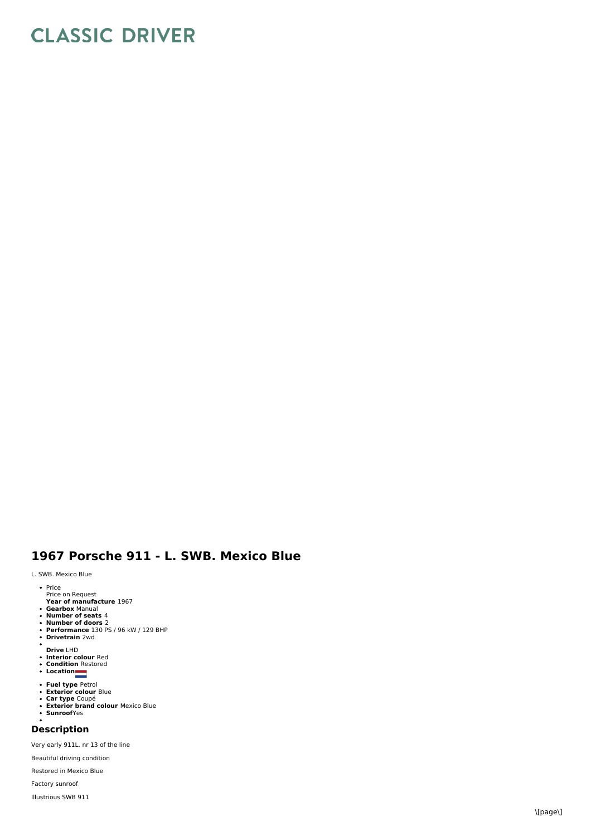## **CLASSIC DRIVER**

## 1967 Porsche 911 - L. SWB. Mexico Blue

## L. SWB. Mexico Blue

- Price Price on Request<br>Price on Request
- 
- **Year of manufacture** 1967<br>**Gearbox** Manual<br>**Number of seats** 4
- 
- **Number of doors** 2<br>**Performance** 130 PS / 96 kW / 129 BHP<br>**Drivetrain** 2wd
- 
- $\bullet$ **D riv e** L H
- **Drive LHD<br>Interior colour** Red<br>Condition Restored<br>Location
- 
- 
- **Fuel type** Petrol<br>**Exterior colour** Blue
- 
- 
- **Car type** Coupé<br>**Exterior brand colour** Mexico Blue **S u n r o o f**Y e s

## **D e s c rip tio n**

Very early 911L. nr 13 of the line

Beautiful driving condition

Restored in Mexico Blue

Factory sunroof

Illustrious SWB 9 1 1